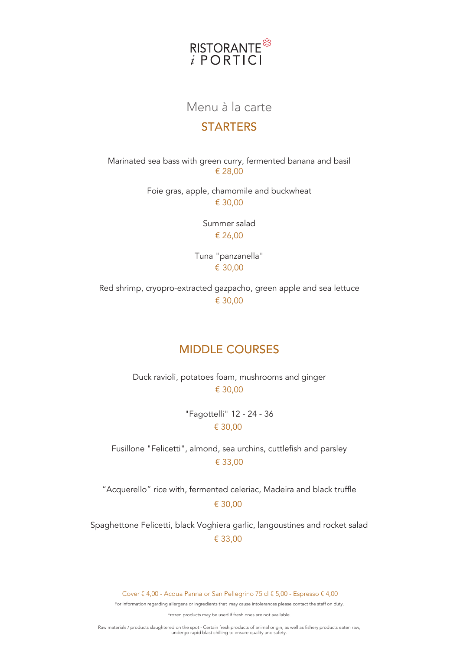

# Menu à la carte

#### **STARTERS**

Marinated sea bass with green curry, fermented banana and basil € 28,00

> Foie gras, apple, chamomile and buckwheat € 30,00

> > Summer salad € 26,00

Tuna "panzanella" € 30,00

Red shrimp, cryopro-extracted gazpacho, green apple and sea lettuce € 30,00

# MIDDLE COURSES

Duck ravioli, potatoes foam, mushrooms and ginger € 30,00

> "Fagottelli" 12 - 24 - 36 € 30,00

Fusillone "Felicetti", almond, sea urchins, cuttlefish and parsley € 33,00

"Acquerello" rice with, fermented celeriac, Madeira and black truffle € 30,00

Spaghettone Felicetti, black Voghiera garlic, langoustines and rocket salad € 33,00

Cover € 4,00 - Acqua Panna or San Pellegrino 75 cl € 5,00 - Espresso € 4,00

For information regarding allergens or ingredients that may cause intolerances please contact the staff on duty.

Frozen products may be used if fresh ones are not available.